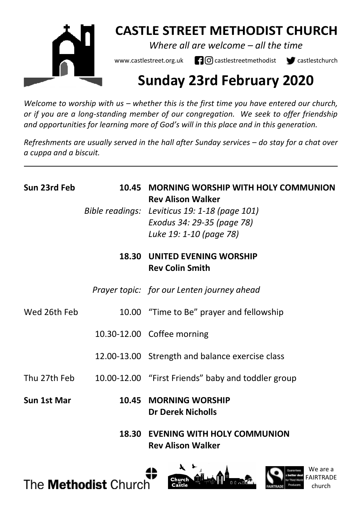

# **CASTLE STREET METHODIST CHURCH**

*Where all are welcome – all the time* 

www.castlestreet.org.uk  $\Box$   $\Box$  castlestreetmethodist  $\Box$  castlestchurch

# **Sunday 23rd February 2020**

*Welcome to worship with us – whether this is the first time you have entered our church, or if you are a long-standing member of our congregation. We seek to offer friendship and opportunities for learning more of God's will in this place and in this generation.* 

*Refreshments are usually served in the hall after Sunday services – do stay for a chat over a cuppa and a biscuit.*

| Sun 23rd Feb | 10.45 | MORNING WORSHIP WITH HOLY COMMUNION<br><b>Rev Alison Walker</b><br>Bible readings: Leviticus 19: 1-18 (page 101)<br>Exodus 34: 29-35 (page 78)<br>Luke 19: 1-10 (page 78) |
|--------------|-------|---------------------------------------------------------------------------------------------------------------------------------------------------------------------------|
|              | 18.30 | UNITED EVENING WORSHIP<br><b>Rev Colin Smith</b>                                                                                                                          |
|              |       | Prayer topic: for our Lenten journey ahead                                                                                                                                |
| Wed 26th Feb |       | 10.00 "Time to Be" prayer and fellowship                                                                                                                                  |
|              |       | 10.30-12.00 Coffee morning                                                                                                                                                |
|              |       | 12.00-13.00 Strength and balance exercise class                                                                                                                           |
| Thu 27th Feb |       | 10.00-12.00 "First Friends" baby and toddler group                                                                                                                        |
| Sun 1st Mar  | 10.45 | <b>MORNING WORSHIP</b><br><b>Dr Derek Nicholls</b>                                                                                                                        |
|              | 18.30 | <b>EVENING WITH HOLY COMMUNION</b><br><b>Rev Alison Walker</b>                                                                                                            |





We are a FAIRTRADE church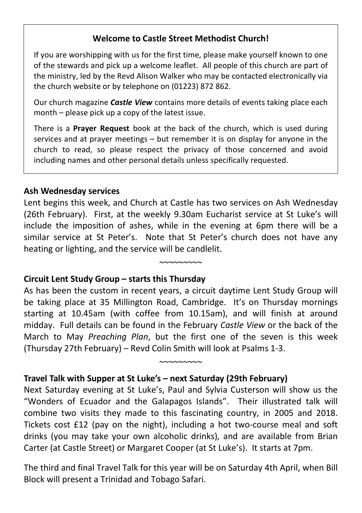#### **Welcome to Castle Street Methodist Church!**

If you are worshipping with us for the first time, please make yourself known to one of the stewards and pick up a welcome leaflet. All people of this church are part of the ministry, led by the Revd Alison Walker who may be contacted electronically via the church website or by telephone on (01223) 872 862.

Our church magazine *Castle View* contains more details of events taking place each month – please pick up a copy of the latest issue.

There is a **Prayer Request** book at the back of the church, which is used during services and at prayer meetings – but remember it is on display for anyone in the church to read, so please respect the privacy of those concerned and avoid including names and other personal details unless specifically requested.

#### **Ash Wednesday services**

Lent begins this week, and Church at Castle has two services on Ash Wednesday (26th February). First, at the weekly 9.30am Eucharist service at St Luke's will include the imposition of ashes, while in the evening at 6pm there will be a similar service at St Peter's. Note that St Peter's church does not have any heating or lighting, and the service will be candlelit.

 $^{\sim}$ 

#### **Circuit Lent Study Group – starts this Thursday**

As has been the custom in recent years, a circuit daytime Lent Study Group will be taking place at 35 Millington Road, Cambridge. It's on Thursday mornings starting at 10.45am (with coffee from 10.15am), and will finish at around midday. Full details can be found in the February *Castle View* or the back of the March to May *Preaching Plan*, but the first one of the seven is this week (Thursday 27th February) – Revd Colin Smith will look at Psalms 1-3.

 $~\sim$ ~~~~~~~

### **Travel Talk with Supper at St Luke's – next Saturday (29th February)**

Next Saturday evening at St Luke's, Paul and Sylvia Custerson will show us the "Wonders of Ecuador and the Galapagos Islands". Their illustrated talk will combine two visits they made to this fascinating country, in 2005 and 2018. Tickets cost £12 (pay on the night), including a hot two-course meal and soft drinks (you may take your own alcoholic drinks), and are available from Brian Carter (at Castle Street) or Margaret Cooper (at St Luke's). It starts at 7pm.

The third and final Travel Talk for this year will be on Saturday 4th April, when Bill Block will present a Trinidad and Tobago Safari.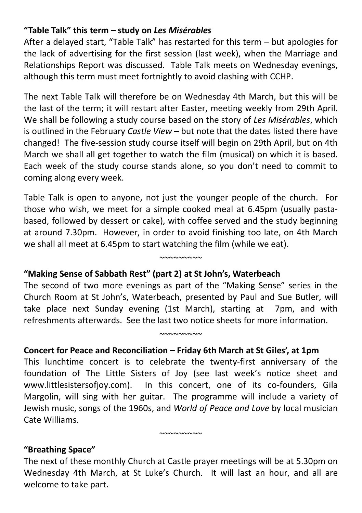#### **"Table Talk" this term – study on** *Les Misérables*

After a delayed start, "Table Talk" has restarted for this term – but apologies for the lack of advertising for the first session (last week), when the Marriage and Relationships Report was discussed. Table Talk meets on Wednesday evenings, although this term must meet fortnightly to avoid clashing with CCHP.

The next Table Talk will therefore be on Wednesday 4th March, but this will be the last of the term; it will restart after Easter, meeting weekly from 29th April. We shall be following a study course based on the story of *Les Misérables*, which is outlined in the February *Castle View* – but note that the dates listed there have changed! The five-session study course itself will begin on 29th April, but on 4th March we shall all get together to watch the film (musical) on which it is based. Each week of the study course stands alone, so you don't need to commit to coming along every week.

Table Talk is open to anyone, not just the younger people of the church. For those who wish, we meet for a simple cooked meal at 6.45pm (usually pastabased, followed by dessert or cake), with coffee served and the study beginning at around 7.30pm. However, in order to avoid finishing too late, on 4th March we shall all meet at 6.45pm to start watching the film (while we eat).

 $~\sim$   $\sim$   $\sim$   $\sim$   $\sim$   $\sim$ 

#### **"Making Sense of Sabbath Rest" (part 2) at St John's, Waterbeach**

The second of two more evenings as part of the "Making Sense" series in the Church Room at St John's, Waterbeach, presented by Paul and Sue Butler, will take place next Sunday evening (1st March), starting at 7pm, and with refreshments afterwards. See the last two notice sheets for more information.

 $^{\sim}$ 

#### **Concert for Peace and Reconciliation – Friday 6th March at St Giles', at 1pm**

This lunchtime concert is to celebrate the twenty-first anniversary of the foundation of The Little Sisters of Joy (see last week's notice sheet and www.littlesistersofjoy.com). In this concert, one of its co-founders, Gila Margolin, will sing with her guitar. The programme will include a variety of Jewish music, songs of the 1960s, and *World of Peace and Love* by local musician Cate Williams.

#### **"Breathing Space"**

The next of these monthly Church at Castle prayer meetings will be at 5.30pm on Wednesday 4th March, at St Luke's Church. It will last an hour, and all are welcome to take part.

 $~\sim$  $\sim$  $\sim$  $\sim$  $\sim$  $\sim$